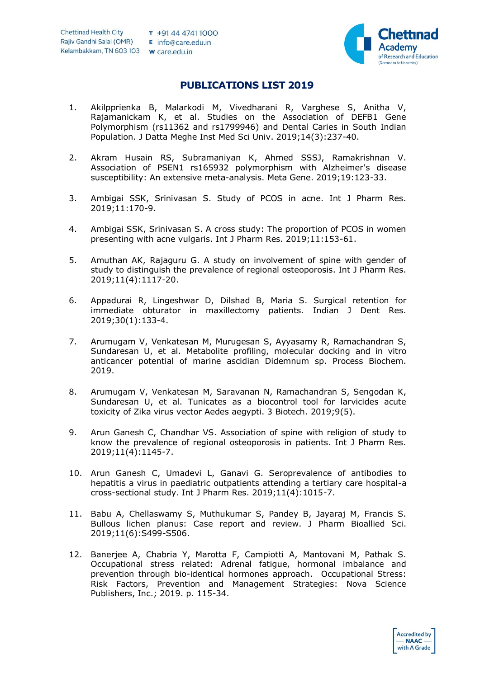

## **PUBLICATIONS LIST 2019**

- 1. Akilpprienka B, Malarkodi M, Vivedharani R, Varghese S, Anitha V, Rajamanickam K, et al. Studies on the Association of DEFB1 Gene Polymorphism (rs11362 and rs1799946) and Dental Caries in South Indian Population. J Datta Meghe Inst Med Sci Univ. 2019;14(3):237-40.
- 2. Akram Husain RS, Subramaniyan K, Ahmed SSSJ, Ramakrishnan V. Association of PSEN1 rs165932 polymorphism with Alzheimer's disease susceptibility: An extensive meta-analysis. Meta Gene. 2019;19:123-33.
- 3. Ambigai SSK, Srinivasan S. Study of PCOS in acne. Int J Pharm Res. 2019;11:170-9.
- 4. Ambigai SSK, Srinivasan S. A cross study: The proportion of PCOS in women presenting with acne vulgaris. Int J Pharm Res. 2019;11:153-61.
- 5. Amuthan AK, Rajaguru G. A study on involvement of spine with gender of study to distinguish the prevalence of regional osteoporosis. Int J Pharm Res. 2019;11(4):1117-20.
- 6. Appadurai R, Lingeshwar D, Dilshad B, Maria S. Surgical retention for immediate obturator in maxillectomy patients. Indian J Dent Res. 2019;30(1):133-4.
- 7. Arumugam V, Venkatesan M, Murugesan S, Ayyasamy R, Ramachandran S, Sundaresan U, et al. Metabolite profiling, molecular docking and in vitro anticancer potential of marine ascidian Didemnum sp. Process Biochem. 2019.
- 8. Arumugam V, Venkatesan M, Saravanan N, Ramachandran S, Sengodan K, Sundaresan U, et al. Tunicates as a biocontrol tool for larvicides acute toxicity of Zika virus vector Aedes aegypti. 3 Biotech. 2019;9(5).
- 9. Arun Ganesh C, Chandhar VS. Association of spine with religion of study to know the prevalence of regional osteoporosis in patients. Int J Pharm Res. 2019;11(4):1145-7.
- 10. Arun Ganesh C, Umadevi L, Ganavi G. Seroprevalence of antibodies to hepatitis a virus in paediatric outpatients attending a tertiary care hospital-a cross-sectional study. Int J Pharm Res. 2019;11(4):1015-7.
- 11. Babu A, Chellaswamy S, Muthukumar S, Pandey B, Jayaraj M, Francis S. Bullous lichen planus: Case report and review. J Pharm Bioallied Sci. 2019;11(6):S499-S506.
- 12. Banerjee A, Chabria Y, Marotta F, Campiotti A, Mantovani M, Pathak S. Occupational stress related: Adrenal fatigue, hormonal imbalance and prevention through bio-identical hormones approach. Occupational Stress: Risk Factors, Prevention and Management Strategies: Nova Science Publishers, Inc.; 2019. p. 115-34.

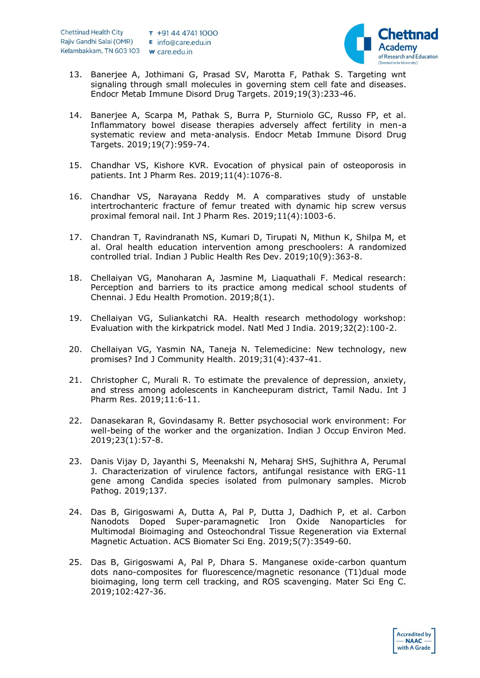

- 13. Banerjee A, Jothimani G, Prasad SV, Marotta F, Pathak S. Targeting wnt signaling through small molecules in governing stem cell fate and diseases. Endocr Metab Immune Disord Drug Targets. 2019;19(3):233-46.
- 14. Banerjee A, Scarpa M, Pathak S, Burra P, Sturniolo GC, Russo FP, et al. Inflammatory bowel disease therapies adversely affect fertility in men-a systematic review and meta-analysis. Endocr Metab Immune Disord Drug Targets. 2019;19(7):959-74.
- 15. Chandhar VS, Kishore KVR. Evocation of physical pain of osteoporosis in patients. Int J Pharm Res. 2019;11(4):1076-8.
- 16. Chandhar VS, Narayana Reddy M. A comparatives study of unstable intertrochanteric fracture of femur treated with dynamic hip screw versus proximal femoral nail. Int J Pharm Res. 2019;11(4):1003-6.
- 17. Chandran T, Ravindranath NS, Kumari D, Tirupati N, Mithun K, Shilpa M, et al. Oral health education intervention among preschoolers: A randomized controlled trial. Indian J Public Health Res Dev. 2019;10(9):363-8.
- 18. Chellaiyan VG, Manoharan A, Jasmine M, Liaquathali F. Medical research: Perception and barriers to its practice among medical school students of Chennai. J Edu Health Promotion. 2019;8(1).
- 19. Chellaiyan VG, Suliankatchi RA. Health research methodology workshop: Evaluation with the kirkpatrick model. Natl Med J India. 2019;32(2):100-2.
- 20. Chellaiyan VG, Yasmin NA, Taneja N. Telemedicine: New technology, new promises? Ind J Community Health. 2019;31(4):437-41.
- 21. Christopher C, Murali R. To estimate the prevalence of depression, anxiety, and stress among adolescents in Kancheepuram district, Tamil Nadu. Int J Pharm Res. 2019;11:6-11.
- 22. Danasekaran R, Govindasamy R. Better psychosocial work environment: For well-being of the worker and the organization. Indian J Occup Environ Med. 2019;23(1):57-8.
- 23. Danis Vijay D, Jayanthi S, Meenakshi N, Meharaj SHS, Sujhithra A, Perumal J. Characterization of virulence factors, antifungal resistance with ERG-11 gene among Candida species isolated from pulmonary samples. Microb Pathog. 2019;137.
- 24. Das B, Girigoswami A, Dutta A, Pal P, Dutta J, Dadhich P, et al. Carbon Nanodots Doped Super-paramagnetic Iron Oxide Nanoparticles for Multimodal Bioimaging and Osteochondral Tissue Regeneration via External Magnetic Actuation. ACS Biomater Sci Eng. 2019;5(7):3549-60.
- 25. Das B, Girigoswami A, Pal P, Dhara S. Manganese oxide-carbon quantum dots nano-composites for fluorescence/magnetic resonance (T1)dual mode bioimaging, long term cell tracking, and ROS scavenging. Mater Sci Eng C. 2019;102:427-36.

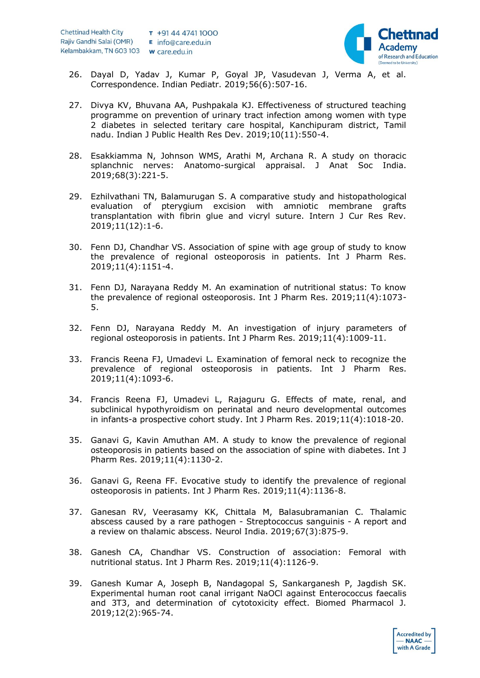

- 26. Dayal D, Yadav J, Kumar P, Goyal JP, Vasudevan J, Verma A, et al. Correspondence. Indian Pediatr. 2019;56(6):507-16.
- 27. Divya KV, Bhuvana AA, Pushpakala KJ. Effectiveness of structured teaching programme on prevention of urinary tract infection among women with type 2 diabetes in selected teritary care hospital, Kanchipuram district, Tamil nadu. Indian J Public Health Res Dev. 2019;10(11):550-4.
- 28. Esakkiamma N, Johnson WMS, Arathi M, Archana R. A study on thoracic splanchnic nerves: Anatomo-surgical appraisal. J Anat Soc India. 2019;68(3):221-5.
- 29. Ezhilvathani TN, Balamurugan S. A comparative study and histopathological evaluation of pterygium excision with amniotic membrane grafts transplantation with fibrin glue and vicryl suture. Intern J Cur Res Rev. 2019;11(12):1-6.
- 30. Fenn DJ, Chandhar VS. Association of spine with age group of study to know the prevalence of regional osteoporosis in patients. Int J Pharm Res. 2019;11(4):1151-4.
- 31. Fenn DJ, Narayana Reddy M. An examination of nutritional status: To know the prevalence of regional osteoporosis. Int J Pharm Res. 2019;11(4):1073- 5.
- 32. Fenn DJ, Narayana Reddy M. An investigation of injury parameters of regional osteoporosis in patients. Int J Pharm Res. 2019;11(4):1009-11.
- 33. Francis Reena FJ, Umadevi L. Examination of femoral neck to recognize the prevalence of regional osteoporosis in patients. Int J Pharm Res. 2019;11(4):1093-6.
- 34. Francis Reena FJ, Umadevi L, Rajaguru G. Effects of mate, renal, and subclinical hypothyroidism on perinatal and neuro developmental outcomes in infants-a prospective cohort study. Int J Pharm Res. 2019;11(4):1018-20.
- 35. Ganavi G, Kavin Amuthan AM. A study to know the prevalence of regional osteoporosis in patients based on the association of spine with diabetes. Int J Pharm Res. 2019;11(4):1130-2.
- 36. Ganavi G, Reena FF. Evocative study to identify the prevalence of regional osteoporosis in patients. Int J Pharm Res. 2019;11(4):1136-8.
- 37. Ganesan RV, Veerasamy KK, Chittala M, Balasubramanian C. Thalamic abscess caused by a rare pathogen - Streptococcus sanguinis - A report and a review on thalamic abscess. Neurol India. 2019;67(3):875-9.
- 38. Ganesh CA, Chandhar VS. Construction of association: Femoral with nutritional status. Int J Pharm Res. 2019;11(4):1126-9.
- 39. Ganesh Kumar A, Joseph B, Nandagopal S, Sankarganesh P, Jagdish SK. Experimental human root canal irrigant NaOCl against Enterococcus faecalis and 3T3, and determination of cytotoxicity effect. Biomed Pharmacol J. 2019;12(2):965-74.

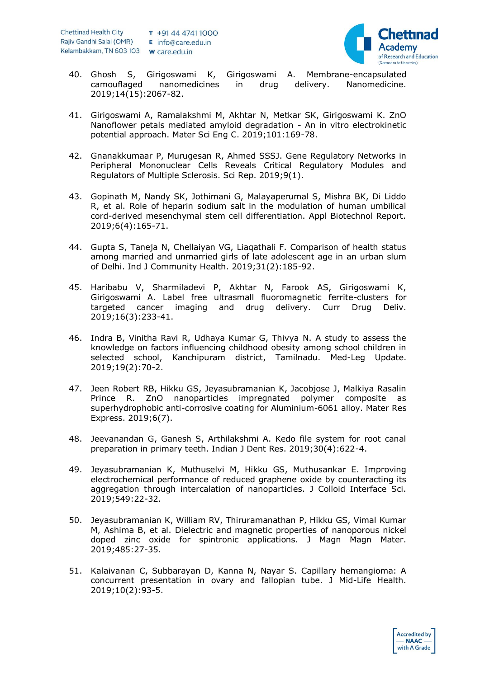

- 40. Ghosh S, Girigoswami K, Girigoswami A. Membrane-encapsulated camouflaged nanomedicines in drug delivery. Nanomedicine. 2019;14(15):2067-82.
- 41. Girigoswami A, Ramalakshmi M, Akhtar N, Metkar SK, Girigoswami K. ZnO Nanoflower petals mediated amyloid degradation - An in vitro electrokinetic potential approach. Mater Sci Eng C. 2019;101:169-78.
- 42. Gnanakkumaar P, Murugesan R, Ahmed SSSJ. Gene Regulatory Networks in Peripheral Mononuclear Cells Reveals Critical Regulatory Modules and Regulators of Multiple Sclerosis. Sci Rep. 2019;9(1).
- 43. Gopinath M, Nandy SK, Jothimani G, Malayaperumal S, Mishra BK, Di Liddo R, et al. Role of heparin sodium salt in the modulation of human umbilical cord-derived mesenchymal stem cell differentiation. Appl Biotechnol Report. 2019;6(4):165-71.
- 44. Gupta S, Taneja N, Chellaiyan VG, Liaqathali F. Comparison of health status among married and unmarried girls of late adolescent age in an urban slum of Delhi. Ind J Community Health. 2019;31(2):185-92.
- 45. Haribabu V, Sharmiladevi P, Akhtar N, Farook AS, Girigoswami K, Girigoswami A. Label free ultrasmall fluoromagnetic ferrite-clusters for targeted cancer imaging and drug delivery. Curr Drug Deliv. 2019;16(3):233-41.
- 46. Indra B, Vinitha Ravi R, Udhaya Kumar G, Thivya N. A study to assess the knowledge on factors influencing childhood obesity among school children in selected school, Kanchipuram district, Tamilnadu. Med-Leg Update. 2019;19(2):70-2.
- 47. Jeen Robert RB, Hikku GS, Jeyasubramanian K, Jacobjose J, Malkiya Rasalin Prince R. ZnO nanoparticles impregnated polymer composite as superhydrophobic anti-corrosive coating for Aluminium-6061 alloy. Mater Res Express. 2019;6(7).
- 48. Jeevanandan G, Ganesh S, Arthilakshmi A. Kedo file system for root canal preparation in primary teeth. Indian J Dent Res. 2019;30(4):622-4.
- 49. Jeyasubramanian K, Muthuselvi M, Hikku GS, Muthusankar E. Improving electrochemical performance of reduced graphene oxide by counteracting its aggregation through intercalation of nanoparticles. J Colloid Interface Sci. 2019;549:22-32.
- 50. Jeyasubramanian K, William RV, Thiruramanathan P, Hikku GS, Vimal Kumar M, Ashima B, et al. Dielectric and magnetic properties of nanoporous nickel doped zinc oxide for spintronic applications. J Magn Magn Mater. 2019;485:27-35.
- 51. Kalaivanan C, Subbarayan D, Kanna N, Nayar S. Capillary hemangioma: A concurrent presentation in ovary and fallopian tube. J Mid-Life Health. 2019;10(2):93-5.

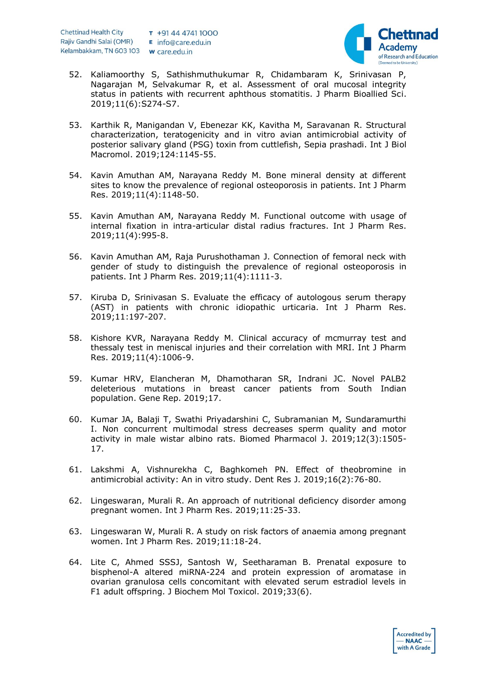

- 52. Kaliamoorthy S, Sathishmuthukumar R, Chidambaram K, Srinivasan P, Nagarajan M, Selvakumar R, et al. Assessment of oral mucosal integrity status in patients with recurrent aphthous stomatitis. J Pharm Bioallied Sci. 2019;11(6):S274-S7.
- 53. Karthik R, Manigandan V, Ebenezar KK, Kavitha M, Saravanan R. Structural characterization, teratogenicity and in vitro avian antimicrobial activity of posterior salivary gland (PSG) toxin from cuttlefish, Sepia prashadi. Int J Biol Macromol. 2019;124:1145-55.
- 54. Kavin Amuthan AM, Narayana Reddy M. Bone mineral density at different sites to know the prevalence of regional osteoporosis in patients. Int J Pharm Res. 2019;11(4):1148-50.
- 55. Kavin Amuthan AM, Narayana Reddy M. Functional outcome with usage of internal fixation in intra-articular distal radius fractures. Int J Pharm Res. 2019;11(4):995-8.
- 56. Kavin Amuthan AM, Raja Purushothaman J. Connection of femoral neck with gender of study to distinguish the prevalence of regional osteoporosis in patients. Int J Pharm Res. 2019;11(4):1111-3.
- 57. Kiruba D, Srinivasan S. Evaluate the efficacy of autologous serum therapy (AST) in patients with chronic idiopathic urticaria. Int J Pharm Res. 2019;11:197-207.
- 58. Kishore KVR, Narayana Reddy M. Clinical accuracy of mcmurray test and thessaly test in meniscal injuries and their correlation with MRI. Int J Pharm Res. 2019;11(4):1006-9.
- 59. Kumar HRV, Elancheran M, Dhamotharan SR, Indrani JC. Novel PALB2 deleterious mutations in breast cancer patients from South Indian population. Gene Rep. 2019;17.
- 60. Kumar JA, Balaji T, Swathi Priyadarshini C, Subramanian M, Sundaramurthi I. Non concurrent multimodal stress decreases sperm quality and motor activity in male wistar albino rats. Biomed Pharmacol J. 2019;12(3):1505- 17.
- 61. Lakshmi A, Vishnurekha C, Baghkomeh PN. Effect of theobromine in antimicrobial activity: An in vitro study. Dent Res J. 2019;16(2):76-80.
- 62. Lingeswaran, Murali R. An approach of nutritional deficiency disorder among pregnant women. Int J Pharm Res. 2019;11:25-33.
- 63. Lingeswaran W, Murali R. A study on risk factors of anaemia among pregnant women. Int J Pharm Res. 2019;11:18-24.
- 64. Lite C, Ahmed SSSJ, Santosh W, Seetharaman B. Prenatal exposure to bisphenol-A altered miRNA-224 and protein expression of aromatase in ovarian granulosa cells concomitant with elevated serum estradiol levels in F1 adult offspring. J Biochem Mol Toxicol. 2019;33(6).

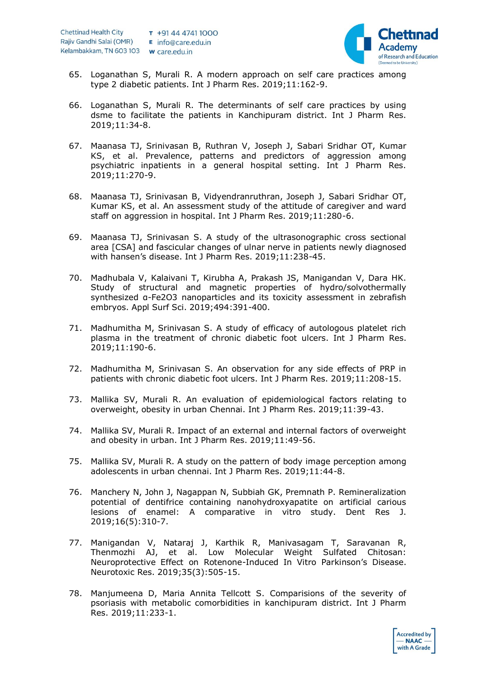

- 65. Loganathan S, Murali R. A modern approach on self care practices among type 2 diabetic patients. Int J Pharm Res. 2019;11:162-9.
- 66. Loganathan S, Murali R. The determinants of self care practices by using dsme to facilitate the patients in Kanchipuram district. Int J Pharm Res. 2019;11:34-8.
- 67. Maanasa TJ, Srinivasan B, Ruthran V, Joseph J, Sabari Sridhar OT, Kumar KS, et al. Prevalence, patterns and predictors of aggression among psychiatric inpatients in a general hospital setting. Int J Pharm Res. 2019;11:270-9.
- 68. Maanasa TJ, Srinivasan B, Vidyendranruthran, Joseph J, Sabari Sridhar OT, Kumar KS, et al. An assessment study of the attitude of caregiver and ward staff on aggression in hospital. Int J Pharm Res. 2019;11:280-6.
- 69. Maanasa TJ, Srinivasan S. A study of the ultrasonographic cross sectional area [CSA] and fascicular changes of ulnar nerve in patients newly diagnosed with hansen's disease. Int J Pharm Res. 2019;11:238-45.
- 70. Madhubala V, Kalaivani T, Kirubha A, Prakash JS, Manigandan V, Dara HK. Study of structural and magnetic properties of hydro/solvothermally synthesized α-Fe2O3 nanoparticles and its toxicity assessment in zebrafish embryos. Appl Surf Sci. 2019;494:391-400.
- 71. Madhumitha M, Srinivasan S. A study of efficacy of autologous platelet rich plasma in the treatment of chronic diabetic foot ulcers. Int J Pharm Res. 2019;11:190-6.
- 72. Madhumitha M, Srinivasan S. An observation for any side effects of PRP in patients with chronic diabetic foot ulcers. Int J Pharm Res. 2019;11:208-15.
- 73. Mallika SV, Murali R. An evaluation of epidemiological factors relating to overweight, obesity in urban Chennai. Int J Pharm Res. 2019;11:39-43.
- 74. Mallika SV, Murali R. Impact of an external and internal factors of overweight and obesity in urban. Int J Pharm Res. 2019;11:49-56.
- 75. Mallika SV, Murali R. A study on the pattern of body image perception among adolescents in urban chennai. Int J Pharm Res. 2019;11:44-8.
- 76. Manchery N, John J, Nagappan N, Subbiah GK, Premnath P. Remineralization potential of dentifrice containing nanohydroxyapatite on artificial carious lesions of enamel: A comparative in vitro study. Dent Res J. 2019;16(5):310-7.
- 77. Manigandan V, Nataraj J, Karthik R, Manivasagam T, Saravanan R, Thenmozhi AJ, et al. Low Molecular Weight Sulfated Chitosan: Neuroprotective Effect on Rotenone-Induced In Vitro Parkinson's Disease. Neurotoxic Res. 2019;35(3):505-15.
- 78. Manjumeena D, Maria Annita Tellcott S. Comparisions of the severity of psoriasis with metabolic comorbidities in kanchipuram district. Int J Pharm Res. 2019;11:233-1.

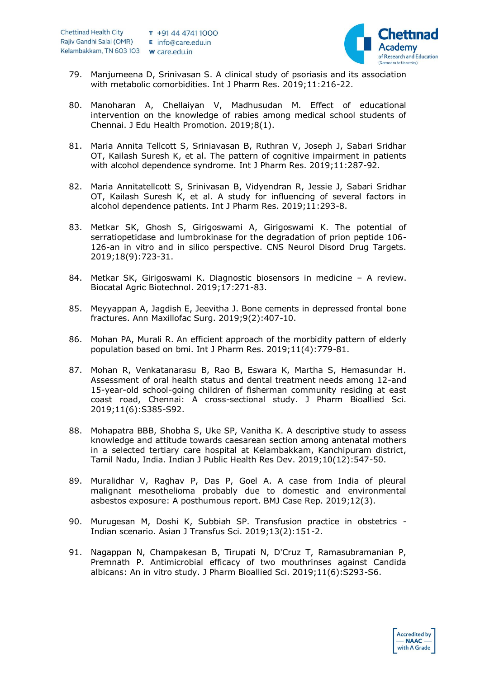

- 79. Manjumeena D, Srinivasan S. A clinical study of psoriasis and its association with metabolic comorbidities. Int J Pharm Res. 2019;11:216-22.
- 80. Manoharan A, Chellaiyan V, Madhusudan M. Effect of educational intervention on the knowledge of rabies among medical school students of Chennai. J Edu Health Promotion. 2019;8(1).
- 81. Maria Annita Tellcott S, Sriniavasan B, Ruthran V, Joseph J, Sabari Sridhar OT, Kailash Suresh K, et al. The pattern of cognitive impairment in patients with alcohol dependence syndrome. Int J Pharm Res. 2019;11:287-92.
- 82. Maria Annitatellcott S, Srinivasan B, Vidyendran R, Jessie J, Sabari Sridhar OT, Kailash Suresh K, et al. A study for influencing of several factors in alcohol dependence patients. Int J Pharm Res. 2019;11:293-8.
- 83. Metkar SK, Ghosh S, Girigoswami A, Girigoswami K. The potential of serratiopetidase and lumbrokinase for the degradation of prion peptide 106- 126-an in vitro and in silico perspective. CNS Neurol Disord Drug Targets. 2019;18(9):723-31.
- 84. Metkar SK, Girigoswami K. Diagnostic biosensors in medicine A review. Biocatal Agric Biotechnol. 2019;17:271-83.
- 85. Meyyappan A, Jagdish E, Jeevitha J. Bone cements in depressed frontal bone fractures. Ann Maxillofac Surg. 2019;9(2):407-10.
- 86. Mohan PA, Murali R. An efficient approach of the morbidity pattern of elderly population based on bmi. Int J Pharm Res. 2019;11(4):779-81.
- 87. Mohan R, Venkatanarasu B, Rao B, Eswara K, Martha S, Hemasundar H. Assessment of oral health status and dental treatment needs among 12-and 15-year-old school-going children of fisherman community residing at east coast road, Chennai: A cross-sectional study. J Pharm Bioallied Sci. 2019;11(6):S385-S92.
- 88. Mohapatra BBB, Shobha S, Uke SP, Vanitha K. A descriptive study to assess knowledge and attitude towards caesarean section among antenatal mothers in a selected tertiary care hospital at Kelambakkam, Kanchipuram district, Tamil Nadu, India. Indian J Public Health Res Dev. 2019;10(12):547-50.
- 89. Muralidhar V, Raghav P, Das P, Goel A. A case from India of pleural malignant mesothelioma probably due to domestic and environmental asbestos exposure: A posthumous report. BMJ Case Rep. 2019;12(3).
- 90. Murugesan M, Doshi K, Subbiah SP. Transfusion practice in obstetrics Indian scenario. Asian J Transfus Sci. 2019;13(2):151-2.
- 91. Nagappan N, Champakesan B, Tirupati N, D'Cruz T, Ramasubramanian P, Premnath P. Antimicrobial efficacy of two mouthrinses against Candida albicans: An in vitro study. J Pharm Bioallied Sci. 2019;11(6):S293-S6.

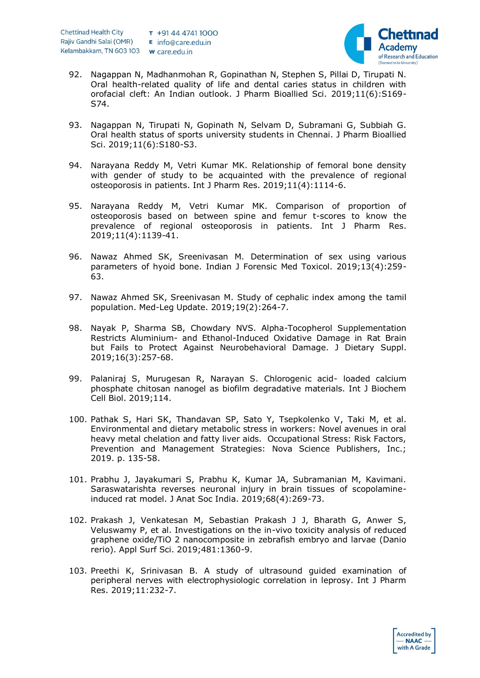

- 92. Nagappan N, Madhanmohan R, Gopinathan N, Stephen S, Pillai D, Tirupati N. Oral health-related quality of life and dental caries status in children with orofacial cleft: An Indian outlook. J Pharm Bioallied Sci. 2019;11(6):S169- S74.
- 93. Nagappan N, Tirupati N, Gopinath N, Selvam D, Subramani G, Subbiah G. Oral health status of sports university students in Chennai. J Pharm Bioallied Sci. 2019;11(6):S180-S3.
- 94. Narayana Reddy M, Vetri Kumar MK. Relationship of femoral bone density with gender of study to be acquainted with the prevalence of regional osteoporosis in patients. Int J Pharm Res. 2019;11(4):1114-6.
- 95. Narayana Reddy M, Vetri Kumar MK. Comparison of proportion of osteoporosis based on between spine and femur t-scores to know the prevalence of regional osteoporosis in patients. Int J Pharm Res. 2019;11(4):1139-41.
- 96. Nawaz Ahmed SK, Sreenivasan M. Determination of sex using various parameters of hyoid bone. Indian J Forensic Med Toxicol. 2019;13(4):259- 63.
- 97. Nawaz Ahmed SK, Sreenivasan M. Study of cephalic index among the tamil population. Med-Leg Update. 2019;19(2):264-7.
- 98. Nayak P, Sharma SB, Chowdary NVS. Alpha-Tocopherol Supplementation Restricts Aluminium- and Ethanol-Induced Oxidative Damage in Rat Brain but Fails to Protect Against Neurobehavioral Damage. J Dietary Suppl. 2019;16(3):257-68.
- 99. Palaniraj S, Murugesan R, Narayan S. Chlorogenic acid- loaded calcium phosphate chitosan nanogel as biofilm degradative materials. Int J Biochem Cell Biol. 2019;114.
- 100. Pathak S, Hari SK, Thandavan SP, Sato Y, Tsepkolenko V, Taki M, et al. Environmental and dietary metabolic stress in workers: Novel avenues in oral heavy metal chelation and fatty liver aids. Occupational Stress: Risk Factors, Prevention and Management Strategies: Nova Science Publishers, Inc.; 2019. p. 135-58.
- 101. Prabhu J, Jayakumari S, Prabhu K, Kumar JA, Subramanian M, Kavimani. Saraswatarishta reverses neuronal injury in brain tissues of scopolamineinduced rat model. J Anat Soc India. 2019;68(4):269-73.
- 102. Prakash J, Venkatesan M, Sebastian Prakash J J, Bharath G, Anwer S, Veluswamy P, et al. Investigations on the in-vivo toxicity analysis of reduced graphene oxide/TiO 2 nanocomposite in zebrafish embryo and larvae (Danio rerio). Appl Surf Sci. 2019;481:1360-9.
- 103. Preethi K, Srinivasan B. A study of ultrasound guided examination of peripheral nerves with electrophysiologic correlation in leprosy. Int J Pharm Res. 2019;11:232-7.

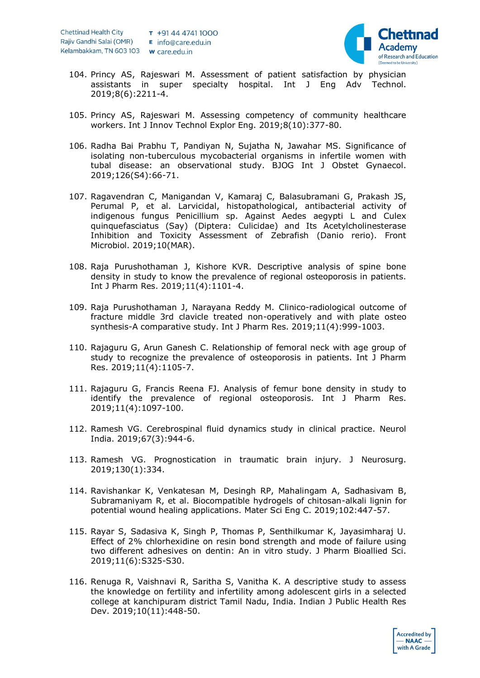

- 104. Princy AS, Rajeswari M. Assessment of patient satisfaction by physician assistants in super specialty hospital. Int J Eng Adv Technol. 2019;8(6):2211-4.
- 105. Princy AS, Rajeswari M. Assessing competency of community healthcare workers. Int J Innov Technol Explor Eng. 2019;8(10):377-80.
- 106. Radha Bai Prabhu T, Pandiyan N, Sujatha N, Jawahar MS. Significance of isolating non-tuberculous mycobacterial organisms in infertile women with tubal disease: an observational study. BJOG Int J Obstet Gynaecol. 2019;126(S4):66-71.
- 107. Ragavendran C, Manigandan V, Kamaraj C, Balasubramani G, Prakash JS, Perumal P, et al. Larvicidal, histopathological, antibacterial activity of indigenous fungus Penicillium sp. Against Aedes aegypti L and Culex quinquefasciatus (Say) (Diptera: Culicidae) and Its Acetylcholinesterase Inhibition and Toxicity Assessment of Zebrafish (Danio rerio). Front Microbiol. 2019;10(MAR).
- 108. Raja Purushothaman J, Kishore KVR. Descriptive analysis of spine bone density in study to know the prevalence of regional osteoporosis in patients. Int J Pharm Res. 2019;11(4):1101-4.
- 109. Raja Purushothaman J, Narayana Reddy M. Clinico-radiological outcome of fracture middle 3rd clavicle treated non-operatively and with plate osteo synthesis-A comparative study. Int J Pharm Res. 2019;11(4):999-1003.
- 110. Rajaguru G, Arun Ganesh C. Relationship of femoral neck with age group of study to recognize the prevalence of osteoporosis in patients. Int J Pharm Res. 2019;11(4):1105-7.
- 111. Rajaguru G, Francis Reena FJ. Analysis of femur bone density in study to identify the prevalence of regional osteoporosis. Int J Pharm Res. 2019;11(4):1097-100.
- 112. Ramesh VG. Cerebrospinal fluid dynamics study in clinical practice. Neurol India. 2019;67(3):944-6.
- 113. Ramesh VG. Prognostication in traumatic brain injury. J Neurosurg. 2019;130(1):334.
- 114. Ravishankar K, Venkatesan M, Desingh RP, Mahalingam A, Sadhasivam B, Subramaniyam R, et al. Biocompatible hydrogels of chitosan-alkali lignin for potential wound healing applications. Mater Sci Eng C. 2019;102:447-57.
- 115. Rayar S, Sadasiva K, Singh P, Thomas P, Senthilkumar K, Jayasimharaj U. Effect of 2% chlorhexidine on resin bond strength and mode of failure using two different adhesives on dentin: An in vitro study. J Pharm Bioallied Sci. 2019;11(6):S325-S30.
- 116. Renuga R, Vaishnavi R, Saritha S, Vanitha K. A descriptive study to assess the knowledge on fertility and infertility among adolescent girls in a selected college at kanchipuram district Tamil Nadu, India. Indian J Public Health Res Dev. 2019;10(11):448-50.

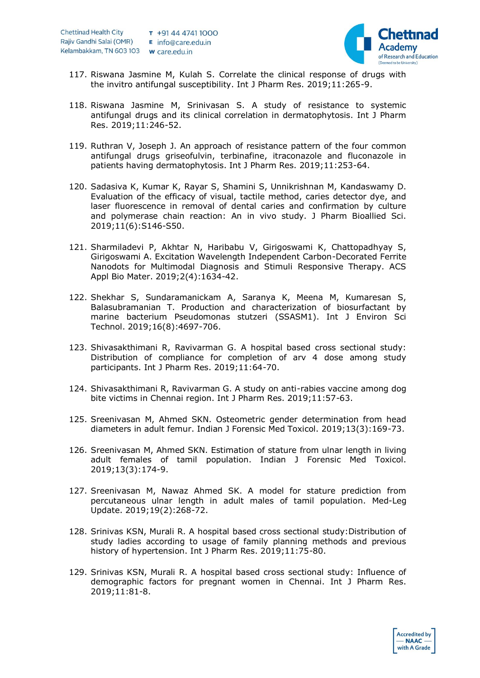

**Accredited by**  $- **NAAC**$ with A Grade

- 117. Riswana Jasmine M, Kulah S. Correlate the clinical response of drugs with the invitro antifungal susceptibility. Int J Pharm Res. 2019;11:265-9.
- 118. Riswana Jasmine M, Srinivasan S. A study of resistance to systemic antifungal drugs and its clinical correlation in dermatophytosis. Int J Pharm Res. 2019;11:246-52.
- 119. Ruthran V, Joseph J. An approach of resistance pattern of the four common antifungal drugs griseofulvin, terbinafine, itraconazole and fluconazole in patients having dermatophytosis. Int J Pharm Res. 2019;11:253-64.
- 120. Sadasiva K, Kumar K, Rayar S, Shamini S, Unnikrishnan M, Kandaswamy D. Evaluation of the efficacy of visual, tactile method, caries detector dye, and laser fluorescence in removal of dental caries and confirmation by culture and polymerase chain reaction: An in vivo study. J Pharm Bioallied Sci. 2019;11(6):S146-S50.
- 121. Sharmiladevi P, Akhtar N, Haribabu V, Girigoswami K, Chattopadhyay S, Girigoswami A. Excitation Wavelength Independent Carbon-Decorated Ferrite Nanodots for Multimodal Diagnosis and Stimuli Responsive Therapy. ACS Appl Bio Mater. 2019;2(4):1634-42.
- 122. Shekhar S, Sundaramanickam A, Saranya K, Meena M, Kumaresan S, Balasubramanian T. Production and characterization of biosurfactant by marine bacterium Pseudomonas stutzeri (SSASM1). Int J Environ Sci Technol. 2019;16(8):4697-706.
- 123. Shivasakthimani R, Ravivarman G. A hospital based cross sectional study: Distribution of compliance for completion of arv 4 dose among study participants. Int J Pharm Res. 2019;11:64-70.
- 124. Shivasakthimani R, Ravivarman G. A study on anti-rabies vaccine among dog bite victims in Chennai region. Int J Pharm Res. 2019;11:57-63.
- 125. Sreenivasan M, Ahmed SKN. Osteometric gender determination from head diameters in adult femur. Indian J Forensic Med Toxicol. 2019;13(3):169-73.
- 126. Sreenivasan M, Ahmed SKN. Estimation of stature from ulnar length in living adult females of tamil population. Indian J Forensic Med Toxicol. 2019;13(3):174-9.
- 127. Sreenivasan M, Nawaz Ahmed SK. A model for stature prediction from percutaneous ulnar length in adult males of tamil population. Med-Leg Update. 2019;19(2):268-72.
- 128. Srinivas KSN, Murali R. A hospital based cross sectional study:Distribution of study ladies according to usage of family planning methods and previous history of hypertension. Int J Pharm Res. 2019;11:75-80.
- 129. Srinivas KSN, Murali R. A hospital based cross sectional study: Influence of demographic factors for pregnant women in Chennai. Int J Pharm Res. 2019;11:81-8.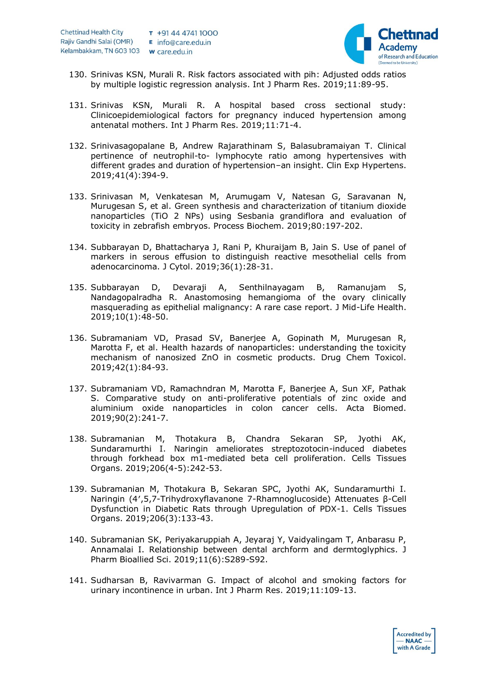

**Accredited by**  $- **NAAC**$ with A Grade

- 130. Srinivas KSN, Murali R. Risk factors associated with pih: Adjusted odds ratios by multiple logistic regression analysis. Int J Pharm Res. 2019;11:89-95.
- 131. Srinivas KSN, Murali R. A hospital based cross sectional study: Clinicoepidemiological factors for pregnancy induced hypertension among antenatal mothers. Int J Pharm Res. 2019;11:71-4.
- 132. Srinivasagopalane B, Andrew Rajarathinam S, Balasubramaiyan T. Clinical pertinence of neutrophil-to- lymphocyte ratio among hypertensives with different grades and duration of hypertension–an insight. Clin Exp Hypertens. 2019;41(4):394-9.
- 133. Srinivasan M, Venkatesan M, Arumugam V, Natesan G, Saravanan N, Murugesan S, et al. Green synthesis and characterization of titanium dioxide nanoparticles (TiO 2 NPs) using Sesbania grandiflora and evaluation of toxicity in zebrafish embryos. Process Biochem. 2019;80:197-202.
- 134. Subbarayan D, Bhattacharya J, Rani P, Khuraijam B, Jain S. Use of panel of markers in serous effusion to distinguish reactive mesothelial cells from adenocarcinoma. J Cytol. 2019;36(1):28-31.
- 135. Subbarayan D, Devaraji A, Senthilnayagam B, Ramanujam S, Nandagopalradha R. Anastomosing hemangioma of the ovary clinically masquerading as epithelial malignancy: A rare case report. J Mid-Life Health. 2019;10(1):48-50.
- 136. Subramaniam VD, Prasad SV, Banerjee A, Gopinath M, Murugesan R, Marotta F, et al. Health hazards of nanoparticles: understanding the toxicity mechanism of nanosized ZnO in cosmetic products. Drug Chem Toxicol. 2019;42(1):84-93.
- 137. Subramaniam VD, Ramachndran M, Marotta F, Banerjee A, Sun XF, Pathak S. Comparative study on anti-proliferative potentials of zinc oxide and aluminium oxide nanoparticles in colon cancer cells. Acta Biomed. 2019;90(2):241-7.
- 138. Subramanian M, Thotakura B, Chandra Sekaran SP, Jyothi AK, Sundaramurthi I. Naringin ameliorates streptozotocin-induced diabetes through forkhead box m1-mediated beta cell proliferation. Cells Tissues Organs. 2019;206(4-5):242-53.
- 139. Subramanian M, Thotakura B, Sekaran SPC, Jyothi AK, Sundaramurthi I. Naringin (4′,5,7-Trihydroxyflavanone 7-Rhamnoglucoside) Attenuates β-Cell Dysfunction in Diabetic Rats through Upregulation of PDX-1. Cells Tissues Organs. 2019;206(3):133-43.
- 140. Subramanian SK, Periyakaruppiah A, Jeyaraj Y, Vaidyalingam T, Anbarasu P, Annamalai I. Relationship between dental archform and dermtoglyphics. J Pharm Bioallied Sci. 2019;11(6):S289-S92.
- 141. Sudharsan B, Ravivarman G. Impact of alcohol and smoking factors for urinary incontinence in urban. Int J Pharm Res. 2019;11:109-13.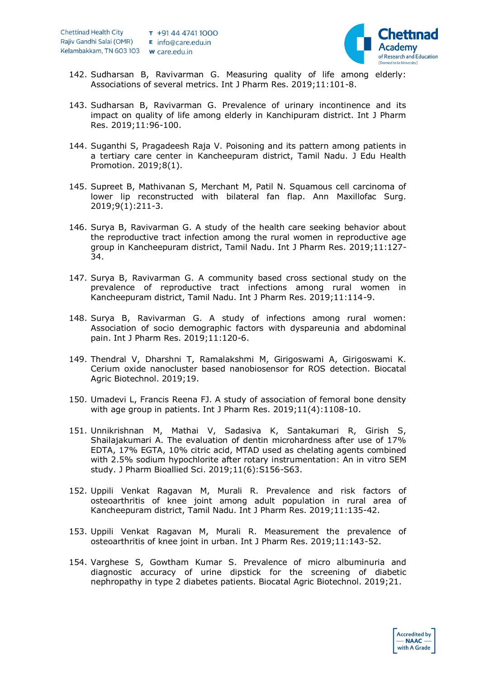

- 142. Sudharsan B, Ravivarman G. Measuring quality of life among elderly: Associations of several metrics. Int J Pharm Res. 2019;11:101-8.
- 143. Sudharsan B, Ravivarman G. Prevalence of urinary incontinence and its impact on quality of life among elderly in Kanchipuram district. Int J Pharm Res. 2019;11:96-100.
- 144. Suganthi S, Pragadeesh Raja V. Poisoning and its pattern among patients in a tertiary care center in Kancheepuram district, Tamil Nadu. J Edu Health Promotion. 2019;8(1).
- 145. Supreet B, Mathivanan S, Merchant M, Patil N. Squamous cell carcinoma of lower lip reconstructed with bilateral fan flap. Ann Maxillofac Surg. 2019;9(1):211-3.
- 146. Surya B, Ravivarman G. A study of the health care seeking behavior about the reproductive tract infection among the rural women in reproductive age group in Kancheepuram district, Tamil Nadu. Int J Pharm Res. 2019;11:127- 34.
- 147. Surya B, Ravivarman G. A community based cross sectional study on the prevalence of reproductive tract infections among rural women in Kancheepuram district, Tamil Nadu. Int J Pharm Res. 2019;11:114-9.
- 148. Surya B, Ravivarman G. A study of infections among rural women: Association of socio demographic factors with dyspareunia and abdominal pain. Int J Pharm Res. 2019;11:120-6.
- 149. Thendral V, Dharshni T, Ramalakshmi M, Girigoswami A, Girigoswami K. Cerium oxide nanocluster based nanobiosensor for ROS detection. Biocatal Agric Biotechnol. 2019;19.
- 150. Umadevi L, Francis Reena FJ. A study of association of femoral bone density with age group in patients. Int J Pharm Res. 2019;11(4):1108-10.
- 151. Unnikrishnan M, Mathai V, Sadasiva K, Santakumari R, Girish S, Shailajakumari A. The evaluation of dentin microhardness after use of 17% EDTA, 17% EGTA, 10% citric acid, MTAD used as chelating agents combined with 2.5% sodium hypochlorite after rotary instrumentation: An in vitro SEM study. J Pharm Bioallied Sci. 2019;11(6):S156-S63.
- 152. Uppili Venkat Ragavan M, Murali R. Prevalence and risk factors of osteoarthritis of knee joint among adult population in rural area of Kancheepuram district, Tamil Nadu. Int J Pharm Res. 2019;11:135-42.
- 153. Uppili Venkat Ragavan M, Murali R. Measurement the prevalence of osteoarthritis of knee joint in urban. Int J Pharm Res. 2019;11:143-52.
- 154. Varghese S, Gowtham Kumar S. Prevalence of micro albuminuria and diagnostic accuracy of urine dipstick for the screening of diabetic nephropathy in type 2 diabetes patients. Biocatal Agric Biotechnol. 2019;21.

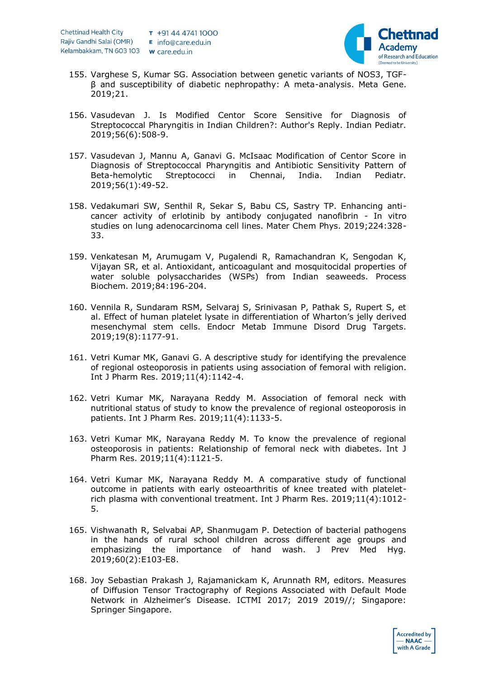

- 155. Varghese S, Kumar SG. Association between genetic variants of NOS3, TGFβ and susceptibility of diabetic nephropathy: A meta-analysis. Meta Gene. 2019;21.
- 156. Vasudevan J. Is Modified Centor Score Sensitive for Diagnosis of Streptococcal Pharyngitis in Indian Children?: Author's Reply. Indian Pediatr. 2019;56(6):508-9.
- 157. Vasudevan J, Mannu A, Ganavi G. McIsaac Modification of Centor Score in Diagnosis of Streptococcal Pharyngitis and Antibiotic Sensitivity Pattern of Beta-hemolytic Streptococci in Chennai, India. Indian Pediatr. 2019;56(1):49-52.
- 158. Vedakumari SW, Senthil R, Sekar S, Babu CS, Sastry TP. Enhancing anticancer activity of erlotinib by antibody conjugated nanofibrin - In vitro studies on lung adenocarcinoma cell lines. Mater Chem Phys. 2019;224:328- 33.
- 159. Venkatesan M, Arumugam V, Pugalendi R, Ramachandran K, Sengodan K, Vijayan SR, et al. Antioxidant, anticoagulant and mosquitocidal properties of water soluble polysaccharides (WSPs) from Indian seaweeds. Process Biochem. 2019;84:196-204.
- 160. Vennila R, Sundaram RSM, Selvaraj S, Srinivasan P, Pathak S, Rupert S, et al. Effect of human platelet lysate in differentiation of Wharton's jelly derived mesenchymal stem cells. Endocr Metab Immune Disord Drug Targets. 2019;19(8):1177-91.
- 161. Vetri Kumar MK, Ganavi G. A descriptive study for identifying the prevalence of regional osteoporosis in patients using association of femoral with religion. Int J Pharm Res. 2019;11(4):1142-4.
- 162. Vetri Kumar MK, Narayana Reddy M. Association of femoral neck with nutritional status of study to know the prevalence of regional osteoporosis in patients. Int J Pharm Res. 2019;11(4):1133-5.
- 163. Vetri Kumar MK, Narayana Reddy M. To know the prevalence of regional osteoporosis in patients: Relationship of femoral neck with diabetes. Int J Pharm Res. 2019;11(4):1121-5.
- 164. Vetri Kumar MK, Narayana Reddy M. A comparative study of functional outcome in patients with early osteoarthritis of knee treated with plateletrich plasma with conventional treatment. Int J Pharm Res. 2019;11(4):1012- 5.
- 165. Vishwanath R, Selvabai AP, Shanmugam P. Detection of bacterial pathogens in the hands of rural school children across different age groups and emphasizing the importance of hand wash. J Prev Med Hyg. 2019;60(2):E103-E8.
- 168. Joy Sebastian Prakash J, Rajamanickam K, Arunnath RM, editors. Measures of Diffusion Tensor Tractography of Regions Associated with Default Mode Network in Alzheimer's Disease. ICTMI 2017; 2019 2019//; Singapore: Springer Singapore.

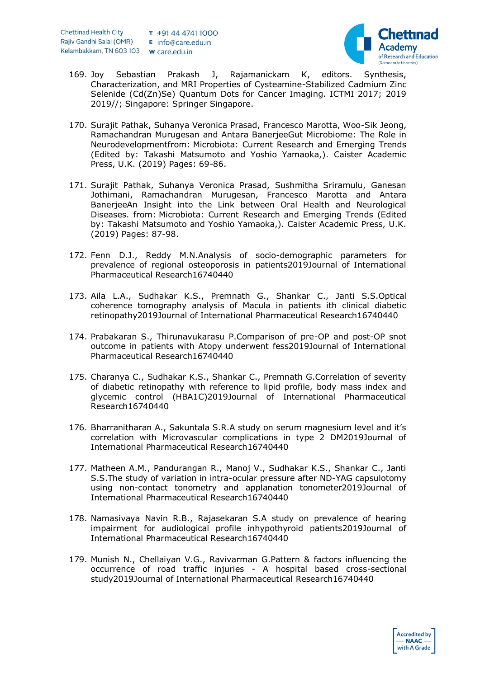

- 169. Joy Sebastian Prakash J, Rajamanickam K, editors. Synthesis, Characterization, and MRI Properties of Cysteamine-Stabilized Cadmium Zinc Selenide (Cd(Zn)Se) Quantum Dots for Cancer Imaging. ICTMI 2017; 2019 2019//; Singapore: Springer Singapore.
- 170. Surajit Pathak, Suhanya Veronica Prasad, Francesco Marotta, Woo-Sik Jeong, Ramachandran Murugesan and Antara BanerjeeGut Microbiome: The Role in Neurodevelopmentfrom: Microbiota: Current Research and Emerging Trends (Edited by: Takashi Matsumoto and Yoshio Yamaoka,). Caister Academic Press, U.K. (2019) Pages: 69-86.
- 171. Surajit Pathak, Suhanya Veronica Prasad, Sushmitha Sriramulu, Ganesan Jothimani, Ramachandran Murugesan, Francesco Marotta and Antara BanerjeeAn Insight into the Link between Oral Health and Neurological Diseases. from: Microbiota: Current Research and Emerging Trends (Edited by: Takashi Matsumoto and Yoshio Yamaoka,). Caister Academic Press, U.K. (2019) Pages: 87-98.
- 172. Fenn D.J., Reddy M.N.Analysis of socio-demographic parameters for prevalence of regional osteoporosis in patients2019Journal of International Pharmaceutical Research16740440
- 173. Aila L.A., Sudhakar K.S., Premnath G., Shankar C., Janti S.S.Optical coherence tomography analysis of Macula in patients ith clinical diabetic retinopathy2019Journal of International Pharmaceutical Research16740440
- 174. Prabakaran S., Thirunavukarasu P.Comparison of pre-OP and post-OP snot outcome in patients with Atopy underwent fess2019Journal of International Pharmaceutical Research16740440
- 175. Charanya C., Sudhakar K.S., Shankar C., Premnath G.Correlation of severity of diabetic retinopathy with reference to lipid profile, body mass index and glycemic control (HBA1C)2019Journal of International Pharmaceutical Research16740440
- 176. Bharranitharan A., Sakuntala S.R.A study on serum magnesium level and it's correlation with Microvascular complications in type 2 DM2019Journal of International Pharmaceutical Research16740440
- 177. Matheen A.M., Pandurangan R., Manoj V., Sudhakar K.S., Shankar C., Janti S.S.The study of variation in intra-ocular pressure after ND-YAG capsulotomy using non-contact tonometry and applanation tonometer2019Journal of International Pharmaceutical Research16740440
- 178. Namasivaya Navin R.B., Rajasekaran S.A study on prevalence of hearing impairment for audiological profile inhypothyroid patients2019Journal of International Pharmaceutical Research16740440
- 179. Munish N., Chellaiyan V.G., Ravivarman G.Pattern & factors influencing the occurrence of road traffic injuries - A hospital based cross-sectional study2019Journal of International Pharmaceutical Research16740440

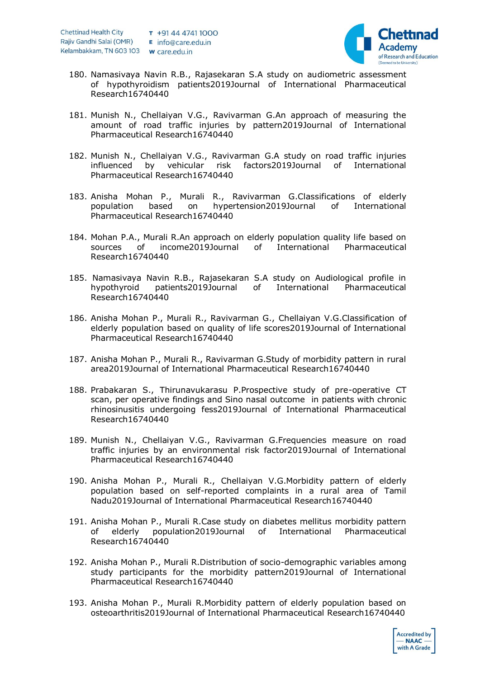

- 180. Namasivaya Navin R.B., Rajasekaran S.A study on audiometric assessment of hypothyroidism patients2019Journal of International Pharmaceutical Research16740440
- 181. Munish N., Chellaiyan V.G., Ravivarman G.An approach of measuring the amount of road traffic injuries by pattern2019Journal of International Pharmaceutical Research16740440
- 182. Munish N., Chellaiyan V.G., Ravivarman G.A study on road traffic injuries influenced by vehicular risk factors2019Journal of International Pharmaceutical Research16740440
- 183. Anisha Mohan P., Murali R., Ravivarman G.Classifications of elderly population based on hypertension2019Journal of International Pharmaceutical Research16740440
- 184. Mohan P.A., Murali R.An approach on elderly population quality life based on sources of income2019Journal of International Pharmaceutical Research16740440
- 185. Namasivaya Navin R.B., Rajasekaran S.A study on Audiological profile in hypothyroid patients2019Journal of International Pharmaceutical Research16740440
- 186. Anisha Mohan P., Murali R., Ravivarman G., Chellaiyan V.G.Classification of elderly population based on quality of life scores2019Journal of International Pharmaceutical Research16740440
- 187. Anisha Mohan P., Murali R., Ravivarman G.Study of morbidity pattern in rural area2019Journal of International Pharmaceutical Research16740440
- 188. Prabakaran S., Thirunavukarasu P.Prospective study of pre-operative CT scan, per operative findings and Sino nasal outcome in patients with chronic rhinosinusitis undergoing fess2019Journal of International Pharmaceutical Research16740440
- 189. Munish N., Chellaiyan V.G., Ravivarman G.Frequencies measure on road traffic injuries by an environmental risk factor2019Journal of International Pharmaceutical Research16740440
- 190. Anisha Mohan P., Murali R., Chellaiyan V.G.Morbidity pattern of elderly population based on self-reported complaints in a rural area of Tamil Nadu2019Journal of International Pharmaceutical Research16740440
- 191. Anisha Mohan P., Murali R.Case study on diabetes mellitus morbidity pattern of elderly population2019Journal of International Pharmaceutical Research16740440
- 192. Anisha Mohan P., Murali R.Distribution of socio-demographic variables among study participants for the morbidity pattern2019Journal of International Pharmaceutical Research16740440
- 193. Anisha Mohan P., Murali R.Morbidity pattern of elderly population based on osteoarthritis2019Journal of International Pharmaceutical Research16740440

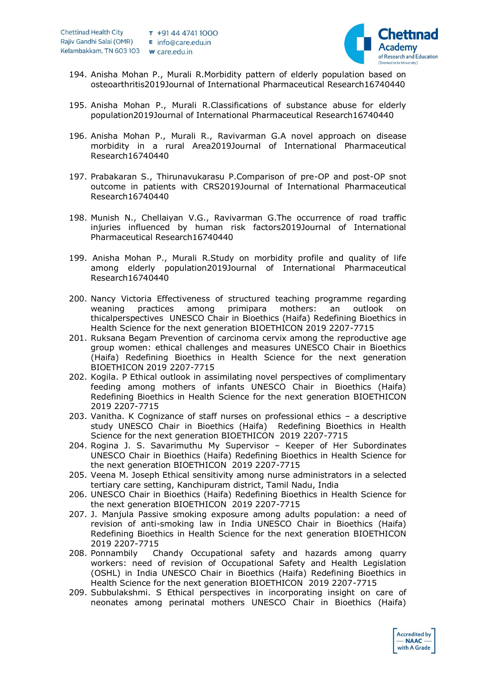

- 194. Anisha Mohan P., Murali R.Morbidity pattern of elderly population based on osteoarthritis2019Journal of International Pharmaceutical Research16740440
- 195. Anisha Mohan P., Murali R.Classifications of substance abuse for elderly population2019Journal of International Pharmaceutical Research16740440
- 196. Anisha Mohan P., Murali R., Ravivarman G.A novel approach on disease morbidity in a rural Area2019Journal of International Pharmaceutical Research16740440
- 197. Prabakaran S., Thirunavukarasu P.Comparison of pre-OP and post-OP snot outcome in patients with CRS2019Journal of International Pharmaceutical Research16740440
- 198. Munish N., Chellaiyan V.G., Ravivarman G.The occurrence of road traffic injuries influenced by human risk factors2019Journal of International Pharmaceutical Research16740440
- 199. Anisha Mohan P., Murali R.Study on morbidity profile and quality of life among elderly population2019Journal of International Pharmaceutical Research16740440
- 200. Nancy Victoria Effectiveness of structured teaching programme regarding weaning practices among primipara mothers: an outlook on thicalperspectives UNESCO Chair in Bioethics (Haifa) Redefining Bioethics in Health Science for the next generation BIOETHICON 2019 2207-7715
- 201. Ruksana Begam Prevention of carcinoma cervix among the reproductive age group women: ethical challenges and measures UNESCO Chair in Bioethics (Haifa) Redefining Bioethics in Health Science for the next generation BIOETHICON 2019 2207-7715
- 202. Kogila. P Ethical outlook in assimilating novel perspectives of complimentary feeding among mothers of infants UNESCO Chair in Bioethics (Haifa) Redefining Bioethics in Health Science for the next generation BIOETHICON 2019 2207-7715
- 203. Vanitha. K Cognizance of staff nurses on professional ethics a descriptive study UNESCO Chair in Bioethics (Haifa) Redefining Bioethics in Health Science for the next generation BIOETHICON 2019 2207-7715
- 204. Rogina J. S. Savarimuthu My Supervisor Keeper of Her Subordinates UNESCO Chair in Bioethics (Haifa) Redefining Bioethics in Health Science for the next generation BIOETHICON 2019 2207-7715
- 205. Veena M. Joseph Ethical sensitivity among nurse administrators in a selected tertiary care setting, Kanchipuram district, Tamil Nadu, India
- 206. UNESCO Chair in Bioethics (Haifa) Redefining Bioethics in Health Science for the next generation BIOETHICON 2019 2207-7715
- 207. J. Manjula Passive smoking exposure among adults population: a need of revision of anti-smoking law in India UNESCO Chair in Bioethics (Haifa) Redefining Bioethics in Health Science for the next generation BIOETHICON 2019 2207-7715
- 208. Ponnambily Chandy Occupational safety and hazards among quarry workers: need of revision of Occupational Safety and Health Legislation (OSHL) in India UNESCO Chair in Bioethics (Haifa) Redefining Bioethics in Health Science for the next generation BIOETHICON 2019 2207-7715
- 209. Subbulakshmi. S Ethical perspectives in incorporating insight on care of neonates among perinatal mothers UNESCO Chair in Bioethics (Haifa)

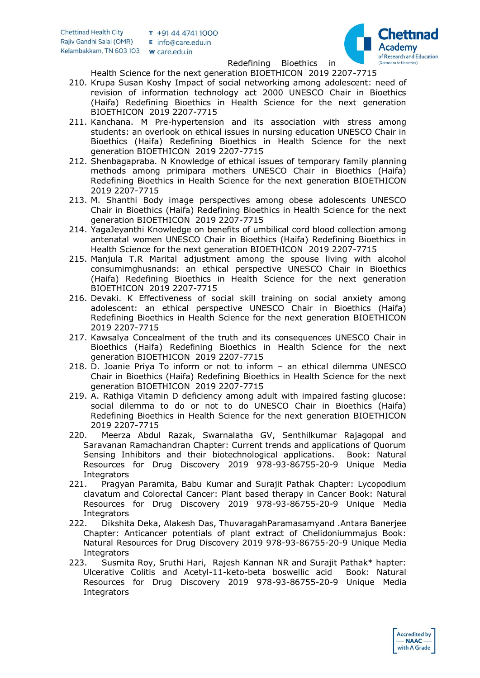

Redefining Bioethics in

Health Science for the next generation BIOETHICON 2019 2207-7715

- 210. Krupa Susan Koshy Impact of social networking among adolescent: need of revision of information technology act 2000 UNESCO Chair in Bioethics (Haifa) Redefining Bioethics in Health Science for the next generation BIOETHICON 2019 2207-7715
- 211. Kanchana. M Pre-hypertension and its association with stress among students: an overlook on ethical issues in nursing education UNESCO Chair in Bioethics (Haifa) Redefining Bioethics in Health Science for the next generation BIOETHICON 2019 2207-7715
- 212. Shenbagapraba. N Knowledge of ethical issues of temporary family planning methods among primipara mothers UNESCO Chair in Bioethics (Haifa) Redefining Bioethics in Health Science for the next generation BIOETHICON 2019 2207-7715
- 213. M. Shanthi Body image perspectives among obese adolescents UNESCO Chair in Bioethics (Haifa) Redefining Bioethics in Health Science for the next generation BIOETHICON 2019 2207-7715
- 214. YagaJeyanthi Knowledge on benefits of umbilical cord blood collection among antenatal women UNESCO Chair in Bioethics (Haifa) Redefining Bioethics in Health Science for the next generation BIOETHICON 2019 2207-7715
- 215. Manjula T.R Marital adjustment among the spouse living with alcohol consumimghusnands: an ethical perspective UNESCO Chair in Bioethics (Haifa) Redefining Bioethics in Health Science for the next generation BIOETHICON 2019 2207-7715
- 216. Devaki. K Effectiveness of social skill training on social anxiety among adolescent: an ethical perspective UNESCO Chair in Bioethics (Haifa) Redefining Bioethics in Health Science for the next generation BIOETHICON 2019 2207-7715
- 217. Kawsalya Concealment of the truth and its consequences UNESCO Chair in Bioethics (Haifa) Redefining Bioethics in Health Science for the next generation BIOETHICON 2019 2207-7715
- 218. D. Joanie Priya To inform or not to inform an ethical dilemma UNESCO Chair in Bioethics (Haifa) Redefining Bioethics in Health Science for the next generation BIOETHICON 2019 2207-7715
- 219. A. Rathiga Vitamin D deficiency among adult with impaired fasting glucose: social dilemma to do or not to do UNESCO Chair in Bioethics (Haifa) Redefining Bioethics in Health Science for the next generation BIOETHICON 2019 2207-7715
- 220. Meerza Abdul Razak, Swarnalatha GV, Senthilkumar Rajagopal and Saravanan Ramachandran Chapter: Current trends and applications of Quorum Sensing Inhibitors and their biotechnological applications. Book: Natural Resources for Drug Discovery 2019 978-93-86755-20-9 Unique Media **Integrators**
- 221. Pragyan Paramita, Babu Kumar and Surajit Pathak Chapter: Lycopodium clavatum and Colorectal Cancer: Plant based therapy in Cancer Book: Natural Resources for Drug Discovery 2019 978-93-86755-20-9 Unique Media **Integrators**
- 222. Dikshita Deka, Alakesh Das, ThuvaragahParamasamyand .Antara Banerjee Chapter: Anticancer potentials of plant extract of Chelidoniummajus Book: Natural Resources for Drug Discovery 2019 978-93-86755-20-9 Unique Media **Integrators**
- 223. Susmita Roy, Sruthi Hari, Rajesh Kannan NR and Surajit Pathak\* hapter: Ulcerative Colitis and Acetyl-11-keto-beta boswellic acid Book: Natural Resources for Drug Discovery 2019 978-93-86755-20-9 Unique Media **Integrators**